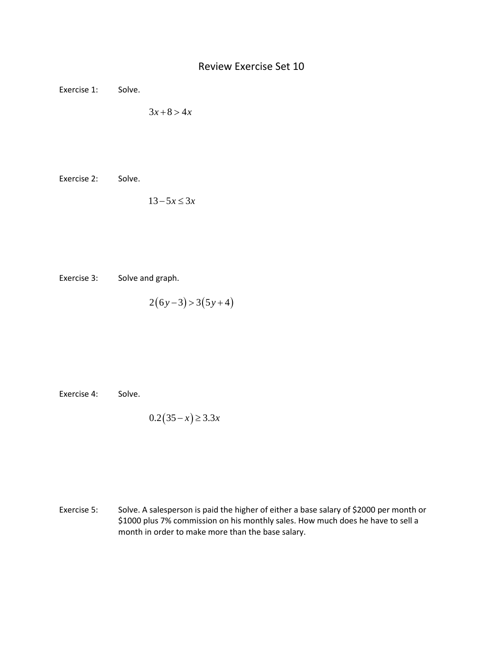## Review Exercise Set 10

Exercise 1: Solve.

 $3x + 8 > 4x$ 

Exercise 2: Solve.

 $13 - 5x \leq 3x$ 

Exercise 3: Solve and graph.

$$
2(6y-3) > 3(5y+4)
$$

Exercise 4: Solve.

$$
0.2(35-x) \ge 3.3x
$$

Exercise 5: Solve. A salesperson is paid the higher of either a base salary of \$2000 per month or \$1000 plus 7% commission on his monthly sales. How much does he have to sell a month in order to make more than the base salary.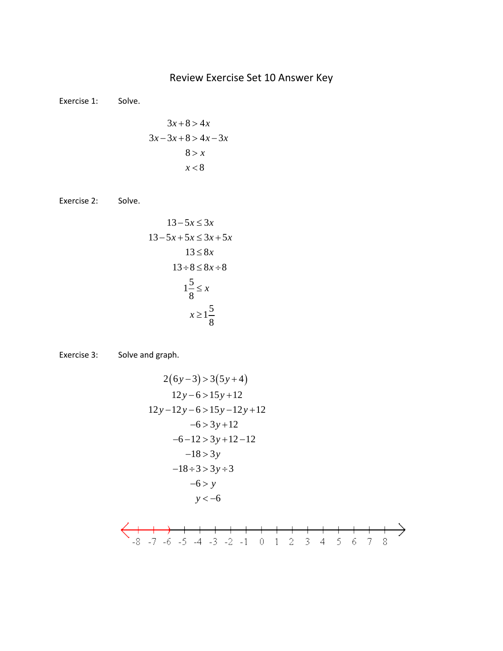## Review Exercise Set 10 Answer Key

Exercise 1: Solve.

$$
3x+8>4x
$$
  
\n
$$
3x-3x+8>4x-3x
$$
  
\n
$$
8>x
$$
  
\n
$$
x<8
$$

Exercise 2: Solve.

$$
13 - 5x \le 3x
$$
  
\n
$$
13 - 5x + 5x \le 3x + 5x
$$
  
\n
$$
13 \le 8x
$$
  
\n
$$
13 \div 8 \le 8x \div 8
$$
  
\n
$$
1\frac{5}{8} \le x
$$
  
\n
$$
x \ge 1\frac{5}{8}
$$

Exercise 3: Solve and graph.

$$
2(6y-3) > 3(5y+4)
$$
  
\n
$$
12y-6 > 15y+12
$$
  
\n
$$
12y-12y-6 > 15y-12y+12
$$
  
\n
$$
-6 > 3y+12
$$
  
\n
$$
-6-12 > 3y+12-12
$$
  
\n
$$
-18 > 3y
$$
  
\n
$$
-18 \div 3 > 3y \div 3
$$
  
\n
$$
-6 > y
$$
  
\n
$$
y < -6
$$

$$
\left\langle \longleftrightarrow \longrightarrow + + + + + + + + + + + + + + \longrightarrow +
$$
  
\n-8 -7 -6 -5 -4 -3 -2 -1 0 1 2 3 4 5 6 7 8